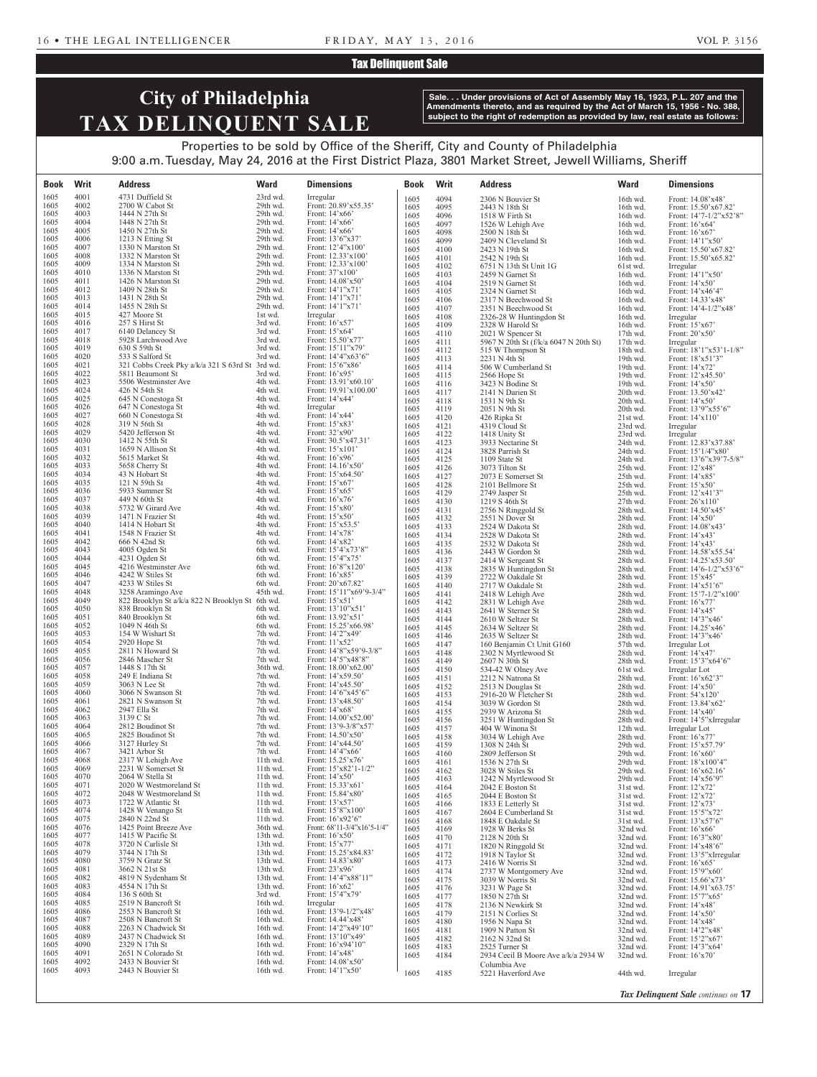### Tax Delinquent Sale

## **City of Philadelphia TAX DELINQUENT SALE**

**Sale. . . Under provisions of Act of Assembly May 16, 1923, P.L. 207 and the Amendments thereto, and as required by the Act of March 15, 1956 - No. 388, subject to the right of redemption as provided by law, real estate as follows:**

Properties to be sold by Office of the Sheriff, City and County of Philadelphia 9:00 a.m. Tuesday, May 24, 2016 at the First District Plaza, 3801 Market Street, Jewell Williams, Sheriff

| Book         | Writ         | <b>Address</b>                                  | <b>Ward</b>          | <b>Dimensions</b>                                      | <b>Book</b>  | Writ         | <b>Address</b>                                      | <b>Ward</b>          | <b>Dimensions</b>                                                                 |
|--------------|--------------|-------------------------------------------------|----------------------|--------------------------------------------------------|--------------|--------------|-----------------------------------------------------|----------------------|-----------------------------------------------------------------------------------|
| 1605         | 4001         | 4731 Duffield St                                | 23rd wd.             | Irregular                                              | 1605         | 4094         | 2306 N Bouvier St                                   | 16th wd.             | Front: 14.08'x48'                                                                 |
| 1605<br>1605 | 4002<br>4003 | 2700 W Cabot St<br>1444 N 27th St               | 29th wd.<br>29th wd. | Front: 20.89'x55.35'<br>Front: $14'x66'$               | 1605<br>1605 | 4095<br>4096 | 2443 N 18th St<br>1518 W Firth St                   | 16th wd.<br>16th wd. | Front: 15.50'x67.82'<br>Front: 14'7-1/2"x52'8"                                    |
| 1605         | 4004         | 1448 N 27th St                                  | 29th wd.             | Front: 14'x66'                                         | 1605         | 4097         | 1526 W Lehigh Ave                                   | 16th wd.             | Front: 16'x64'                                                                    |
| 1605<br>1605 | 4005<br>4006 | 1450 N 27th St<br>1213 N Etting St              | 29th wd.<br>29th wd. | Front: $14'x66'$<br>Front: 13'6"x37'                   | 1605         | 4098         | 2500 N 18th St                                      | 16th wd.             | Front: 16'x67'                                                                    |
| 1605         | 4007         | 1330 N Marston St                               | 29th wd.             | Front: 12'4"x100"                                      | 1605<br>1605 | 4099<br>4100 | 2409 N Cleveland St<br>2423 N 19th St               | 16th wd.<br>16th wd. | Front: 14'1"x50'<br>Front: 15.50'x67.82'                                          |
| 1605         | 4008         | 1332 N Marston St                               | 29th wd.             | Front: 12.33'x100'                                     | 1605         | 4101         | 2542 N 19th St                                      | 16th wd.             | Front: 15.50'x65.82'                                                              |
| 1605<br>1605 | 4009<br>4010 | 1334 N Marston St<br>1336 N Marston St          | 29th wd.<br>29th wd. | Front: 12.33'x100'<br>Front: 37'x100'                  | 1605<br>1605 | 4102<br>4103 | 6751 N 13th St Unit 1G<br>2459 N Garnet St          | 61st wd.<br>16th wd. | Irregular<br>Front: 14'1"x50'                                                     |
| 1605         | 4011         | 1426 N Marston St                               | 29th wd.             | Front: 14.08'x50'                                      | 1605         | 4104         | 2519 N Garnet St                                    | 16th wd.             | Front: 14'x50'                                                                    |
| 1605<br>1605 | 4012<br>4013 | 1409 N 28th St<br>1431 N 28th St                | 29th wd.<br>29th wd. | Front: 14'1"x71'<br>Front: 14'1"x71'                   | 1605         | 4105         | 2324 N Garnet St                                    | 16th wd.             | Front: 14'x46'4"                                                                  |
| 1605         | 4014         | 1455 N 28th St                                  | 29th wd.             | Front: 14'1"x71'                                       | 1605<br>1605 | 4106<br>4107 | 2317 N Beechwood St<br>2351 N Beechwood St          | 16th wd.<br>16th wd. | Front: 14.33'x48'<br>Front: $14'4-1/2''x48'$                                      |
| 1605<br>1605 | 4015         | 427 Moore St<br>257 S Hirst St                  | 1st wd.<br>3rd wd.   | Irregular                                              | 1605         | 4108         | 2326-28 W Huntingdon St                             | 16th wd.             | Irregular                                                                         |
| 1605         | 4016<br>4017 | 6140 Delancey St                                | 3rd wd.              | Front: 16'x57'<br>Front: 15'x64'                       | 1605<br>1605 | 4109<br>4110 | 2328 W Harold St<br>2021 W Spencer St               | 16th wd.<br>17th wd. | Front: 15'x67'<br>Front: $20^\circ x50^\circ$                                     |
| 1605         | 4018         | 5928 Larchwood Ave                              | 3rd wd.              | Front: 15.50'x77'                                      | 1605         | 4111         | 5967 N 20th St (f/k/a 6047 N 20th St)               | 17th wd.             | Irregular                                                                         |
| 1605<br>1605 | 4019<br>4020 | 630 S 59th St<br>533 S Salford St               | 3rd wd.<br>3rd wd.   | Front: 15'11"x79"<br>Front: $14'4''x63'6''$            | 1605         | 4112         | 515 W Thompson St                                   | 18th wd.<br>19th wd. | Front: $18'1''x53'1-1/8"$<br>Front: 18'x51'3"                                     |
| 1605         | 4021         | 321 Cobbs Creek Pky a/k/a 321 S 63rd St 3rd wd. |                      | Front: 15'6"x86'                                       | 1605<br>1605 | 4113<br>4114 | 2231 N 4th St<br>506 W Cumberland St                | 19th wd.             | Front: 14'x72'                                                                    |
| 1605<br>1605 | 4022<br>4023 | 5811 Beaumont St<br>5506 Westminster Ave        | 3rd wd.<br>4th wd.   | Front: 16'x95'<br>Front: 13.91'x60.10'                 | 1605         | 4115         | 2566 Hope St                                        | 19th wd.             | Front: 12'x45.50'                                                                 |
| 1605         | 4024         | 426 N 54th St                                   | 4th wd.              | Front: 19.91'x100.00'                                  | 1605<br>1605 | 4116<br>4117 | 3423 N Bodine St<br>2141 N Darien St                | 19th wd.<br>20th wd. | Front: 14'x50'<br>Front: 13.50'x42'                                               |
| 1605         | 4025         | 645 N Conestoga St                              | 4th wd.              | Front: 14'x44'                                         | 1605         | 4118         | 1531 N 9th St                                       | 20th wd.             | Front: 14'x50'                                                                    |
| 1605<br>1605 | 4026<br>4027 | 647 N Conestoga St<br>660 N Conestoga St        | 4th wd.<br>4th wd.   | Irregular<br>Front: 14'x44'                            | 1605<br>1605 | 4119<br>4120 | 2051 N 9th St                                       | 20th wd.<br>21st wd. | Front: 13'9"x55'6"<br>Front: 14'x110'                                             |
| 1605         | 4028         | 319 N 56th St                                   | 4th wd.              | Front: 15'x83'                                         | 1605         | 4121         | 426 Ripka St<br>4319 Cloud St                       | 23rd wd.             | Irregular                                                                         |
| 1605<br>1605 | 4029<br>4030 | 5420 Jefferson St<br>1412 N 55th St             | 4th wd.<br>4th wd.   | Front: 32'x90'<br>Front: 30.5'x47.31'                  | 1605         | 4122         | 1418 Unity St                                       | 23rd wd.             | Irregular                                                                         |
| 1605         | 4031         | 1659 N Allison St                               | 4th wd.              | Front: 15'x101'                                        | 1605<br>1605 | 4123<br>4124 | 3933 Nectarine St<br>3828 Parrish St                | 24th wd.<br>24th wd. | Front: 12.83'x37.88'<br>Front: 15'1/4"x80'                                        |
| 1605         | 4032         | 5615 Market St                                  | 4th wd.              | Front: $16'x96'$                                       | 1605         | 4125         | 1109 State St                                       | 24th wd.             | Front: $13'6''x39'7-5/8"$                                                         |
| 1605<br>1605 | 4033<br>4034 | 5658 Cherry St<br>43 N Hobart St                | 4th wd.<br>4th wd.   | Front: 14.16'x50'<br>Front: $15^{\circ}x64.50^{\circ}$ | 1605<br>1605 | 4126         | 3073 Tilton St                                      | 25th wd.             | Front: 12'x48'<br>Front: 14'x85'                                                  |
| 1605         | 4035         | 121 N 59th St                                   | 4th wd.              | Front: 15'x67'                                         | 1605         | 4127<br>4128 | 2073 E Somerset St<br>2101 Bellmore St              | 25th wd.<br>25th wd. | Front: 15'x50'                                                                    |
| 1605<br>1605 | 4036<br>4037 | 5933 Summer St<br>449 N 60th St                 | 4th wd.              | Front: 15'x65'<br>Front: 16'x76'                       | 1605         | 4129         | 2749 Jasper St                                      | 25th wd.             | Front: 12'x41'3"                                                                  |
| 1605         | 4038         | 5732 W Girard Ave                               | 4th wd.<br>4th wd.   | Front: 15'x80'                                         | 1605<br>1605 | 4130<br>4131 | 1219 S 46th St<br>2756 N Ringgold St                | 27th wd.<br>28th wd. | Front: 26'x110'<br>Front: 14.50'x45'                                              |
| 1605         | 4039         | 1471 N Frazier St                               | 4th wd.              | Front: $15^{\circ}x50^{\circ}$                         | 1605         | 4132         | 2551 N Dover St                                     | 28th wd.             | Front: 14'x50'                                                                    |
| 1605<br>1605 | 4040<br>4041 | 1414 N Hobart St<br>1548 N Frazier St           | 4th wd.<br>4th wd.   | Front: 15'x53.5'<br>Front: 14'x78'                     | 1605         | 4133<br>4134 | 2524 W Dakota St                                    | 28th wd.             | Front: 14.08'x43'                                                                 |
| 1605         | 4042         | 666 N 42nd St                                   | 6th wd.              | Front: 14'x82'                                         | 1605<br>1605 | 4135         | 2528 W Dakota St<br>2532 W Dakota St                | 28th wd.<br>28th wd. | Front: 14'x43'<br>Front: 14'x43'                                                  |
| 1605<br>1605 | 4043<br>4044 | 4005 Ogden St<br>4231 Ogden St                  | 6th wd.<br>6th wd.   | Front: 15'4'x73'8"<br>Front: 15'4"x75'                 | 1605         | 4136         | 2443 W Gordon St                                    | 28th wd.             | Front: 14.58'x55.54'                                                              |
| 1605         | 4045         | 4216 Westminster Ave                            | 6th wd.              | Front: 16'8"x120"                                      | 1605<br>1605 | 4137<br>4138 | 2414 W Sergeant St<br>2835 W Huntingdon St          | 28th wd.<br>28th wd. | Front: $14.25'$ x53.50'<br>Front: $14^{\circ}6 - 1/2^{\circ}x53^{\circ}6^{\circ}$ |
| 1605         | 4046         | 4242 W Stiles St                                | 6th wd.              | Front: 16'x85'                                         | 1605         | 4139         | 2722 W Oakdale St                                   | 28th wd.             | Front: 15'x45'                                                                    |
| 1605<br>1605 | 4047<br>4048 | 4233 W Stiles St<br>3258 Aramingo Ave           | 6th wd.<br>45th wd.  | Front: 20'x67.82'<br>Front: 15'11"x69'9-3/4"           | 1605<br>1605 | 4140<br>4141 | 2717 W Oakdale St<br>2418 W Lehigh Ave              | 28th wd.<br>28th wd. | Front: 14'x51'6"<br>Front: $15'7 - 1/2''x100'$                                    |
| 1605         | 4049         | 822 Brooklyn St a/k/a 822 N Brooklyn St 6th wd. |                      | Front: 15'x51'                                         | 1605         | 4142         | 2831 W Lehigh Ave                                   | 28th wd.             | Front: $16'x77'$                                                                  |
| 1605<br>1605 | 4050<br>4051 | 838 Brooklyn St<br>840 Brooklyn St              | 6th wd.<br>6th wd.   | Front: 13'10"x51'<br>Front: 13.92'x51'                 | 1605         | 4143         | 2641 W Sterner St                                   | 28th wd.             | Front: 14'x45'                                                                    |
| 1605         | 4052         | 1049 N 46th St                                  | 6th wd.              | Front: 15.25'x66.98'                                   | 1605<br>1605 | 4144<br>4145 | 2610 W Seltzer St<br>2634 W Seltzer St              | 28th wd.<br>28th wd. | Front: $14'3''x46'$<br>Front: 14.25'x46'                                          |
| 1605<br>1605 | 4053<br>4054 | 154 W Wishart St<br>2920 Hope St                | 7th wd.              | Front: 14'2"x49'<br>Front: 11'x52'                     | 1605         | 4146         | 2635 W Seltzer St                                   | 28th wd.             | Front: 14'3"x46'                                                                  |
| 1605         | 4055         | 2811 N Howard St                                | 7th wd.<br>7th wd.   | Front: 14'8"x59'9-3/8"                                 | 1605<br>1605 | 4147<br>4148 | 160 Benjamin Ct Unit G160<br>2302 N Myrtlewood St   | 57th wd.<br>28th wd. | Irregular Lot<br>Front: 14'x47'                                                   |
| 1605         | 4056         | 2846 Mascher St                                 | 7th wd.              | Front: 14'5"x48'8"                                     | 1605         | 4149         | 2607 N 30th St                                      | 28th wd.             | Front: 15'3"x64'6"                                                                |
| 1605<br>1605 | 4057<br>4058 | 1448 S 17th St<br>249 E Indiana St              | 36th wd.<br>7th wd.  | Front: 18.00'x62.00'<br>Front: 14'x59.50'              | 1605<br>1605 | 4150<br>4151 | 534-42 W Olney Ave<br>2212 N Natrona St             | 61st wd.<br>28th wd. | Irregular Lot<br>Front: 16'x62'3"                                                 |
| 1605         | 4059         | 3063 N Lee St                                   | 7th wd.              | Front: 14'x45.50'                                      | 1605         | 4152         | 2513 N Douglas St                                   | 28th wd.             | Front: 14'x50'                                                                    |
| 1605<br>1605 | 4060<br>4061 | 3066 N Swanson St<br>2821 N Swanson St          | 7th wd.<br>7th wd.   | Front: $14'6''x45'6''$<br>Front: 13'x48.50'            | 1605         | 4153         | 2916-20 W Fletcher St                               | 28th wd.             | Front: 54'x120'                                                                   |
| 1605         | 4062         | 2947 Ella St                                    | 7th wd.              | Front: 14'x68'                                         | 1605<br>1605 | 4154<br>4155 | 3039 W Gordon St<br>2939 W Arizona St               | 28th wd.<br>28th wd. | Front: 13.84'x62'<br>Front: 14'x40'                                               |
| 1605         | 4063         | 3139 C St<br>2812 Boudinot St                   | 7th wd.              | Front: 14.00'x52.00'<br>Front: 13'9-3/8"x57'           | 1605         | 4156         | 3251 W Huntingdon St                                | 28th wd.             | Front: 14'5"xIrregular                                                            |
| 1605<br>1605 | 4064<br>4065 | 2825 Boudinot St                                | 7th wd.<br>7th wd.   | Front: 14.50'x50'                                      | 1605<br>1605 | 4157<br>4158 | 404 W Winona St<br>3034 W Lehigh Ave                | 12th wd.<br>28th wd. | Irregular Lot<br>Front: 16'x77'                                                   |
| 1605         | 4066         | 3127 Hurley St                                  | 7th wd.              | Front: 14'x44.50'                                      | 1605         | 4159         | 1308 N 24th St                                      | 29th wd.             | Front: 15'x57.79'                                                                 |
| 1605<br>1605 | 4067<br>4068 | 3421 Arbor St<br>2317 W Lehigh Ave              | 7th wd.<br>11th wd.  | Front: 14'4"x66"<br>Front: 15.25'x76'                  | 1605<br>1605 | 4160<br>4161 | 2809 Jefferson St<br>1536 N 27th St                 | 29th wd.<br>29th wd. | Front: 16'x60'<br>Front: 18'x100'4"                                               |
| 1605         | 4069         | 2231 W Somerset St                              | 11th wd.             | Front: 15'x82'1-1/2"                                   | 1605         | 4162         | 3028 W Stiles St                                    | 29th wd.             | Front: 16'x62.16'                                                                 |
| 1605<br>1605 | 4070<br>4071 | 2064 W Stella St<br>2020 W Westmoreland St      | 11th wd.<br>11th wd. | Front: 14'x50'<br>Front: 15.33'x61'                    | 1605         | 4163         | 1242 N Myrtlewood St                                | 29th wd.             | Front: 14'x56'9"                                                                  |
| 1605         | 4072         | 2048 W Westmoreland St                          | 11th wd.             | Front: 15.84'x80'                                      | 1605<br>1605 | 4164<br>4165 | 2042 E Boston St<br>2044 E Boston St                | 31st wd.<br>31st wd. | Front: 12'x72'<br>Front: 12'x72'                                                  |
| 1605         | 4073         | 1722 W Atlantic St                              | 11th wd.             | Front: 13'x57'                                         | 1605         | 4166         | 1833 E Letterly St                                  | 31st wd.             | Front: 12'x73'                                                                    |
| 1605<br>1605 | 4074<br>4075 | 1428 W Venango St<br>2840 N 22nd St             | 11th wd.<br>11th wd. | Front: 15'8"x100'<br>Front: 16'x92'6"                  | 1605<br>1605 | 4167<br>4168 | 2604 E Cumberland St<br>1848 E Oakdale St           | 31st wd.<br>31st wd. | Front: 15'5"x72'<br>Front: 13'x57'6"                                              |
| 1605         | 4076         | 1425 Point Breeze Ave                           | 36th wd.             | Front: $68'11-3/4''x16'5-1/4''$                        | 1605         | 4169         | 1928 W Berks St                                     | 32nd wd.             | Front: 16'x66'                                                                    |
| 1605<br>1605 | 4077<br>4078 | 1415 W Pacific St<br>3720 N Carlisle St         | 13th wd.<br>13th wd. | Front: 16'x50'<br>Front: 15'x77'                       | 1605         | 4170         | 2128 N 20th St                                      | 32nd wd.             | Front: 16'3"x80'                                                                  |
| 1605         | 4079         | 3744 N 17th St                                  | 13th wd.             | Front: 15.25'x84.83'                                   | 1605<br>1605 | 4171<br>4172 | 1820 N Ringgold St<br>1918 N Taylor St              | 32nd wd.<br>32nd wd. | Front: 14'x48'6"<br>Front: 13'5"xIrregular                                        |
| 1605         | 4080         | 3759 N Gratz St                                 | 13th wd.<br>13th wd. | Front: 14.83'x80'                                      | 1605         | 4173         | 2416 W Norris St                                    | 32nd wd.             | Front: $16'x65'$                                                                  |
| 1605<br>1605 | 4081<br>4082 | 3662 N 21st St<br>4819 N Sydenham St            | 13th wd.             | Front: $23'x96'$<br>Front: 14'4"x88'11"                | 1605<br>1605 | 4174<br>4175 | 2737 W Montgomery Ave<br>3039 W Norris St           | 32nd wd.<br>32nd wd. | Front: 15'9"x60'<br>Front: 15.66'x73'                                             |
| 1605         | 4083         | 4554 N 17th St                                  | 13th wd.             | Front: 16'x62'                                         | 1605         | 4176         | 3231 W Page St                                      | 32nd wd.             | Front: 14.91'x63.75'                                                              |
| 1605<br>1605 | 4084<br>4085 | 136 S 60th St<br>2519 N Bancroft St             | 3rd wd.<br>16th wd.  | Front: 15'4"x79'<br>Irregular                          | 1605         | 4177<br>4178 | 1850 N 27th St<br>2136 N Newkirk St                 | 32nd wd.<br>32nd wd. | Front: 15'7"x65'                                                                  |
| 1605         | 4086         | 2553 N Bancroft St                              | 16th wd.             | Front: 13'9-1/2"x48'                                   | 1605<br>1605 | 4179         | 2151 N Corlies St                                   | 32nd wd.             | Front: 14'x48'<br>Front: 14'x50'                                                  |
| 1605<br>1605 | 4087<br>4088 | 2508 N Bancroft St<br>2263 N Chadwick St        | 16th wd.<br>16th wd. | Front: 14.44'x48'<br>Front: 14'2"x49'10"               | 1605         | 4180         | 1956 N Napa St                                      | 32nd wd.             | Front: 14'x48'                                                                    |
| 1605         | 4089         | 2437 N Chadwick St                              | 16th wd.             | Front: 13'10"x49"                                      | 1605<br>1605 | 4181<br>4182 | 1909 N Patton St<br>2162 N 32nd St                  | 32nd wd.<br>32nd wd. | Front: 14'2"x48'<br>Front: 15'2"x67"                                              |
| 1605         | 4090         | 2329 N 17th St                                  | 16th wd.             | Front: 16'x94'10"                                      | 1605         | 4183         | 2525 Turner St                                      | 32nd wd.             | Front: $14'3''x64'$                                                               |
| 1605<br>1605 | 4091<br>4092 | 2651 N Colorado St<br>2433 N Bouvier St         | 16th wd.<br>16th wd. | Front: 14'x48'<br>Front: 14.08'x50'                    | 1605         | 4184         | 2934 Cecil B Moore Ave a/k/a 2934 W<br>Columbia Ave | 32nd wd.             | Front: 16'x70'                                                                    |
| 1605         | 4093         | 2443 N Bouvier St                               | 16th wd.             | Front: 14'1"x50"                                       | 1605         | 4185         | 5221 Haverford Ave                                  | 44th wd.             | Irregular                                                                         |
|              |              |                                                 |                      |                                                        |              |              |                                                     |                      | Tax Delinquent Sale continues on 17                                               |